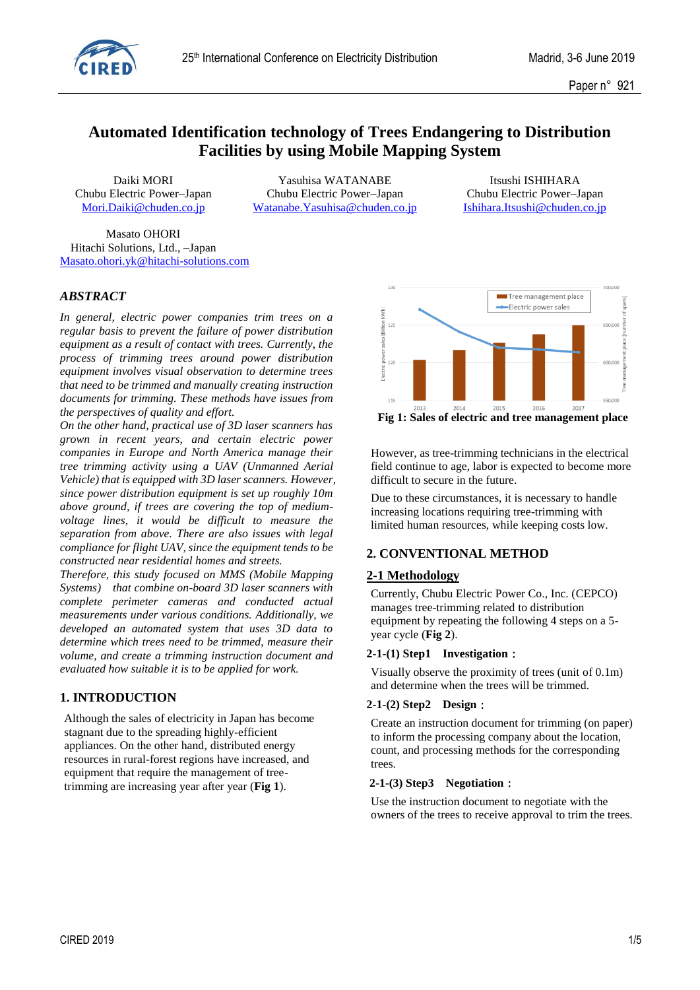

# **Automated Identification technology of Trees Endangering to Distribution Facilities by using Mobile Mapping System**

Daiki MORI Yasuhisa WATANABE Itsushi ISHIHARA Chubu Electric Power–Japan Chubu Electric Power–Japan Chubu Electric Power–Japan [Mori.Daiki@chuden.co.jp](mailto:Mori.Daiki@chuden.co.jp) [Watanabe.Yasuhisa@chuden.co.jp](mailto:Watanabe.Yasuhisa@chuden.co.jp) [Ishihara.Itsushi@chuden.co.jp](mailto:Ishihara.Itsushi@chuden.co.jp)

Masato OHORI Hitachi Solutions, Ltd., –Japan [Masato.ohori.yk@hitachi-solutions.com](mailto:Masato.ohori.yk@hitachi-solutions.com)

### *ABSTRACT*

*In general, electric power companies trim trees on a regular basis to prevent the failure of power distribution equipment as a result of contact with trees. Currently, the process of trimming trees around power distribution equipment involves visual observation to determine trees that need to be trimmed and manually creating instruction documents for trimming. These methods have issues from the perspectives of quality and effort.*

*On the other hand, practical use of 3D laser scanners has grown in recent years, and certain electric power companies in Europe and North America manage their tree trimming activity using a UAV (Unmanned Aerial Vehicle) that is equipped with 3D laser scanners. However, since power distribution equipment is set up roughly 10m above ground, if trees are covering the top of mediumvoltage lines, it would be difficult to measure the separation from above. There are also issues with legal compliance for flight UAV, since the equipment tends to be constructed near residential homes and streets.*

*Therefore, this study focused on MMS (Mobile Mapping Systems) that combine on-board 3D laser scanners with complete perimeter cameras and conducted actual measurements under various conditions. Additionally, we developed an automated system that uses 3D data to determine which trees need to be trimmed, measure their volume, and create a trimming instruction document and evaluated how suitable it is to be applied for work.* 

### **1. INTRODUCTION**

Although the sales of electricity in Japan has become stagnant due to the spreading highly-efficient appliances. On the other hand, distributed energy resources in rural-forest regions have increased, and equipment that require the management of treetrimming are increasing year after year (**Fig 1**).



However, as tree-trimming technicians in the electrical field continue to age, labor is expected to become more difficult to secure in the future.

Due to these circumstances, it is necessary to handle increasing locations requiring tree-trimming with limited human resources, while keeping costs low.

### **2. CONVENTIONAL METHOD**

### **2-1 Methodology**

Currently, Chubu Electric Power Co., Inc. (CEPCO) manages tree-trimming related to distribution equipment by repeating the following 4 steps on a 5 year cycle (**Fig 2**).

#### **2-1-(1) Step1 Investigation**:

Visually observe the proximity of trees (unit of 0.1m) and determine when the trees will be trimmed.

#### **2-1-(2) Step2 Design**:

Create an instruction document for trimming (on paper) to inform the processing company about the location, count, and processing methods for the corresponding trees.

#### **2-1-(3) Step3 Negotiation**:

Use the instruction document to negotiate with the owners of the trees to receive approval to trim the trees.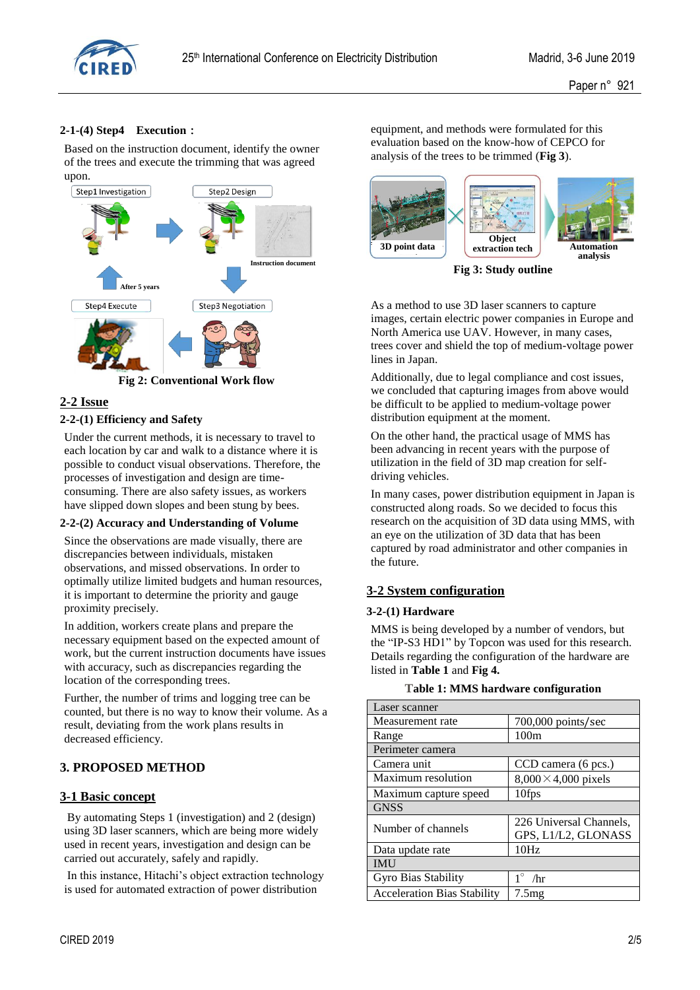

### **2-1-(4) Step4 Execution**:

Based on the instruction document, identify the owner of the trees and execute the trimming that was agreed upon.



**Fig 2: Conventional Work flow**

### **2-2 Issue**

#### **2-2-(1) Efficiency and Safety**

Under the current methods, it is necessary to travel to each location by car and walk to a distance where it is possible to conduct visual observations. Therefore, the processes of investigation and design are timeconsuming. There are also safety issues, as workers have slipped down slopes and been stung by bees.

#### **2-2-(2) Accuracy and Understanding of Volume**

Since the observations are made visually, there are discrepancies between individuals, mistaken observations, and missed observations. In order to optimally utilize limited budgets and human resources, it is important to determine the priority and gauge proximity precisely.

In addition, workers create plans and prepare the necessary equipment based on the expected amount of work, but the current instruction documents have issues with accuracy, such as discrepancies regarding the location of the corresponding trees.

Further, the number of trims and logging tree can be counted, but there is no way to know their volume. As a result, deviating from the work plans results in decreased efficiency.

### **3. PROPOSED METHOD**

#### **3-1 Basic concept**

By automating Steps 1 (investigation) and 2 (design) using 3D laser scanners, which are being more widely used in recent years, investigation and design can be carried out accurately, safely and rapidly.

In this instance, Hitachi's object extraction technology is used for automated extraction of power distribution

equipment, and methods were formulated for this evaluation based on the know-how of CEPCO for analysis of the trees to be trimmed (**Fig 3**).



**Fig 3: Study outline**

As a method to use 3D laser scanners to capture images, certain electric power companies in Europe and North America use UAV. However, in many cases, trees cover and shield the top of medium-voltage power lines in Japan.

Additionally, due to legal compliance and cost issues, we concluded that capturing images from above would be difficult to be applied to medium-voltage power distribution equipment at the moment.

On the other hand, the practical usage of MMS has been advancing in recent years with the purpose of utilization in the field of 3D map creation for selfdriving vehicles.

In many cases, power distribution equipment in Japan is constructed along roads. So we decided to focus this research on the acquisition of 3D data using MMS, with an eye on the utilization of 3D data that has been captured by road administrator and other companies in the future.

### **3-2 System configuration**

#### **3-2-(1) Hardware**

MMS is being developed by a number of vendors, but the "IP-S3 HD1" by Topcon was used for this research. Details regarding the configuration of the hardware are listed in **Table 1** and **Fig 4.**

#### **Table 1: MMS hardware configuration**

| Laser scanner                      |                                                |  |  |  |  |
|------------------------------------|------------------------------------------------|--|--|--|--|
| Measurement rate                   | 700,000 points/sec                             |  |  |  |  |
| Range                              | 100m                                           |  |  |  |  |
| Perimeter camera                   |                                                |  |  |  |  |
| Camera unit                        | CCD camera (6 pcs.)                            |  |  |  |  |
| Maximum resolution                 | $8,000 \times 4,000$ pixels                    |  |  |  |  |
| Maximum capture speed              | 10fps                                          |  |  |  |  |
| <b>GNSS</b>                        |                                                |  |  |  |  |
| Number of channels                 | 226 Universal Channels,<br>GPS, L1/L2, GLONASS |  |  |  |  |
| Data update rate                   | 10Hz                                           |  |  |  |  |
| <b>IMU</b>                         |                                                |  |  |  |  |
| Gyro Bias Stability                | /hr                                            |  |  |  |  |
| <b>Acceleration Bias Stability</b> | 7.5mg                                          |  |  |  |  |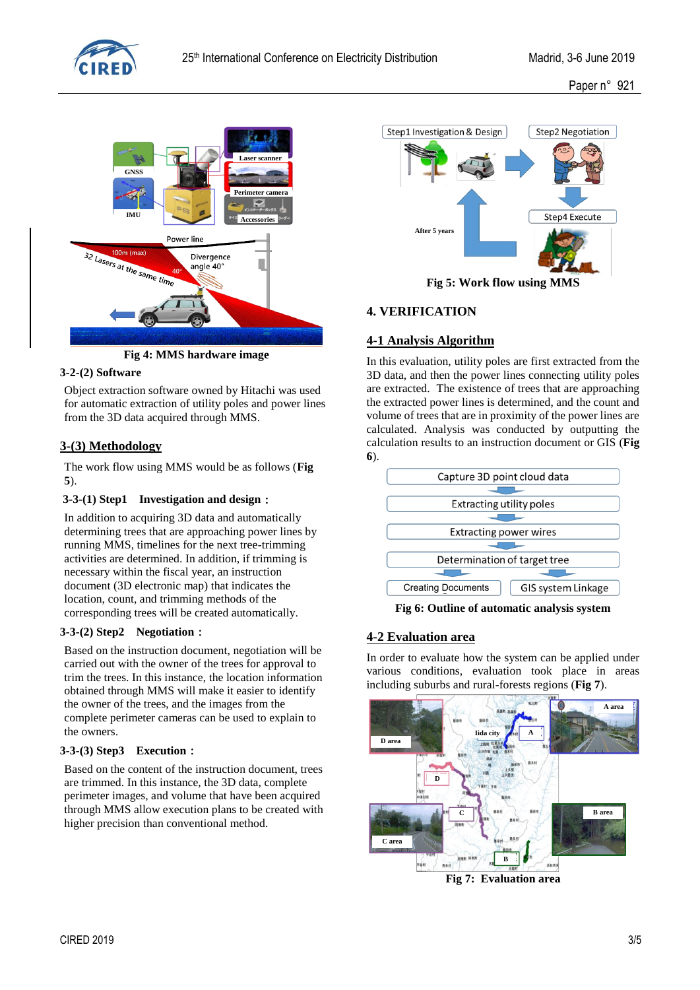

Paper n° 921



**Fig 4: MMS hardware image**

### **3-2-(2) Software**

Object extraction software owned by Hitachi was used for automatic extraction of utility poles and power lines from the 3D data acquired through MMS.

### **3-(3) Methodology**

The work flow using MMS would be as follows (**Fig 5**).

### **3-3-(1) Step1 Investigation and design**:

In addition to acquiring 3D data and automatically determining trees that are approaching power lines by running MMS, timelines for the next tree-trimming activities are determined. In addition, if trimming is necessary within the fiscal year, an instruction document (3D electronic map) that indicates the location, count, and trimming methods of the corresponding trees will be created automatically.

#### **3-3-(2) Step2 Negotiation**:

Based on the instruction document, negotiation will be carried out with the owner of the trees for approval to trim the trees. In this instance, the location information obtained through MMS will make it easier to identify the owner of the trees, and the images from the complete perimeter cameras can be used to explain to the owners.

#### **3-3-(3) Step3 Execution**:

Based on the content of the instruction document, trees are trimmed. In this instance, the 3D data, complete perimeter images, and volume that have been acquired through MMS allow execution plans to be created with higher precision than conventional method.



**Fig 5: Work flow using MMS**

# **4. VERIFICATION**

## **4-1 Analysis Algorithm**

In this evaluation, utility poles are first extracted from the 3D data, and then the power lines connecting utility poles are extracted. The existence of trees that are approaching the extracted power lines is determined, and the count and volume of trees that are in proximity of the power lines are calculated. Analysis was conducted by outputting the calculation results to an instruction document or GIS (**Fig 6**).



**Fig 6: Outline of automatic analysis system**

# **4-2 Evaluation area**

In order to evaluate how the system can be applied under various conditions, evaluation took place in areas including suburbs and rural-forests regions (**Fig 7**).



**Fig 7: Evaluation area**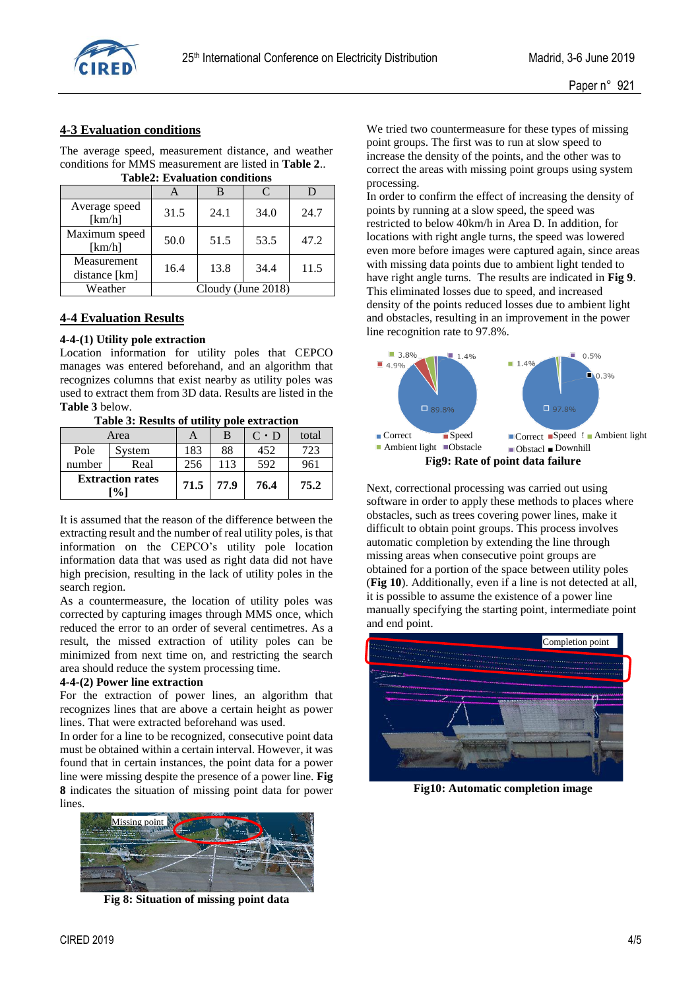

## **4-3 Evaluation conditions**

The average speed, measurement distance, and weather conditions for MMS measurement are listed in **Table 2**.. **Table2: Evaluation conditions**

| таркя. Етананон сончилы      |                    |      |      |      |  |  |  |
|------------------------------|--------------------|------|------|------|--|--|--|
|                              |                    |      | C    |      |  |  |  |
| Average speed<br>[km/h]      | 31.5               | 24.1 | 34.0 | 24.7 |  |  |  |
| Maximum speed<br>[km/h]      | 50.0               | 51.5 | 53.5 | 47.2 |  |  |  |
| Measurement<br>distance [km] | 16.4               | 13.8 | 34.4 | 11.5 |  |  |  |
| Weather                      | Cloudy (June 2018) |      |      |      |  |  |  |

### **4-4 Evaluation Results**

#### **4-4-(1) Utility pole extraction**

Location information for utility poles that CEPCO manages was entered beforehand, and an algorithm that recognizes columns that exist nearby as utility poles was used to extract them from 3D data. Results are listed in the **Table 3** below.

**Table 3: Results of utility pole extraction**

| Area                                      |        | A    | B    | $C \cdot D$ | total |
|-------------------------------------------|--------|------|------|-------------|-------|
| Pole                                      | System | 183  | 88   | 452         | 723   |
| number                                    | Real   | 256  | 113  | 592         | 961   |
| <b>Extraction rates</b><br>$\frac{10}{6}$ |        | 71.5 | 77.9 | 76.4        | 75.2  |

It is assumed that the reason of the difference between the extracting result and the number of real utility poles, is that information on the CEPCO's utility pole location information data that was used as right data did not have high precision, resulting in the lack of utility poles in the search region.

As a countermeasure, the location of utility poles was corrected by capturing images through MMS once, which reduced the error to an order of several centimetres. As a result, the missed extraction of utility poles can be minimized from next time on, and restricting the search area should reduce the system processing time.

#### **4-4-(2) Power line extraction**

For the extraction of power lines, an algorithm that recognizes lines that are above a certain height as power lines. That were extracted beforehand was used.

In order for a line to be recognized, consecutive point data must be obtained within a certain interval. However, it was found that in certain instances, the point data for a power line were missing despite the presence of a power line. **Fig 8** indicates the situation of missing point data for power lines.



**Fig 8: Situation of missing point data**

We tried two countermeasure for these types of missing point groups. The first was to run at slow speed to increase the density of the points, and the other was to correct the areas with missing point groups using system processing.

In order to confirm the effect of increasing the density of points by running at a slow speed, the speed was restricted to below 40km/h in Area D. In addition, for locations with right angle turns, the speed was lowered even more before images were captured again, since areas with missing data points due to ambient light tended to have right angle turns. The results are indicated in **Fig 9**. This eliminated losses due to speed, and increased density of the points reduced losses due to ambient light and obstacles, resulting in an improvement in the power line recognition rate to 97.8%.



Next, correctional processing was carried out using software in order to apply these methods to places where obstacles, such as trees covering power lines, make it difficult to obtain point groups. This process involves automatic completion by extending the line through missing areas when consecutive point groups are obtained for a portion of the space between utility poles (**Fig 10**). Additionally, even if a line is not detected at all, it is possible to assume the existence of a power line manually specifying the starting point, intermediate point and end point.



**Fig10: Automatic completion image**